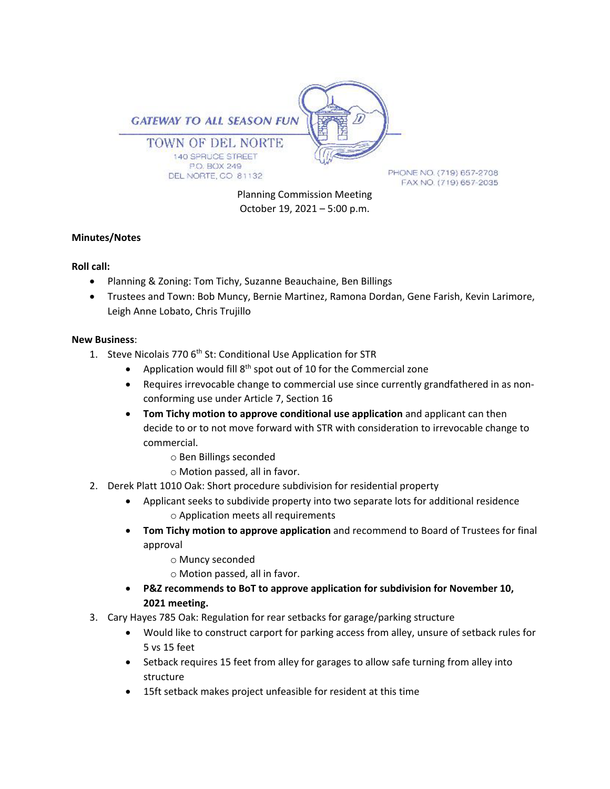

Planning Commission Meeting October 19, 2021 – 5:00 p.m.

# **Minutes/Notes**

# **Roll call:**

- Planning & Zoning: Tom Tichy, Suzanne Beauchaine, Ben Billings
- Trustees and Town: Bob Muncy, Bernie Martinez, Ramona Dordan, Gene Farish, Kevin Larimore, Leigh Anne Lobato, Chris Trujillo

# **New Business**:

- 1. Steve Nicolais 770 6<sup>th</sup> St: Conditional Use Application for STR
	- Application would fill  $8<sup>th</sup>$  spot out of 10 for the Commercial zone
	- Requires irrevocable change to commercial use since currently grandfathered in as nonconforming use under Article 7, Section 16
	- **Tom Tichy motion to approve conditional use application** and applicant can then decide to or to not move forward with STR with consideration to irrevocable change to commercial.
		- o Ben Billings seconded
		- o Motion passed, all in favor.
- 2. Derek Platt 1010 Oak: Short procedure subdivision for residential property
	- Applicant seeks to subdivide property into two separate lots for additional residence o Application meets all requirements
	- **Tom Tichy motion to approve application** and recommend to Board of Trustees for final approval
		- o Muncy seconded
		- o Motion passed, all in favor.
	- **P&Z recommends to BoT to approve application for subdivision for November 10, 2021 meeting.**
- 3. Cary Hayes 785 Oak: Regulation for rear setbacks for garage/parking structure
	- Would like to construct carport for parking access from alley, unsure of setback rules for 5 vs 15 feet
	- Setback requires 15 feet from alley for garages to allow safe turning from alley into structure
	- 15ft setback makes project unfeasible for resident at this time